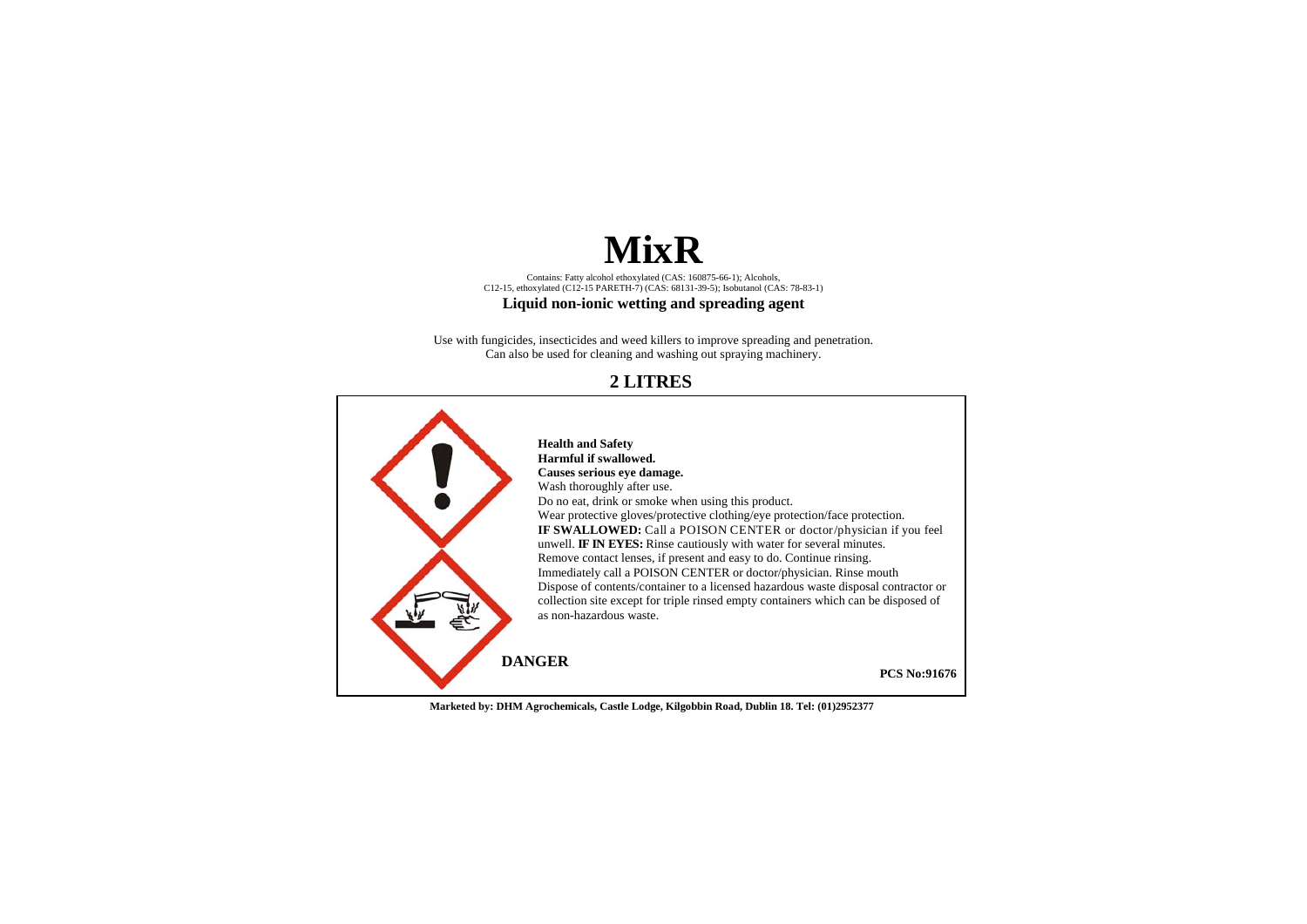# **MixR**

Contains: Fatty alcohol ethoxylated (CAS: 160875-66-1); Alcohols, C12-15, ethoxylated (C12-15 PARETH-7) (CAS: 68131-39-5); Isobutanol (CAS: 78-83-1)

## **Liquid non-ionic wetting and spreading agent**

Use with fungicides, insecticides and weed killers to improve spreading and penetration. Can also be used for cleaning and washing out spraying machinery.

## **2 LITRES**



**Marketed by: DHM Agrochemicals, Castle Lodge, Kilgobbin Road, Dublin 18. Tel: (01)2952377**